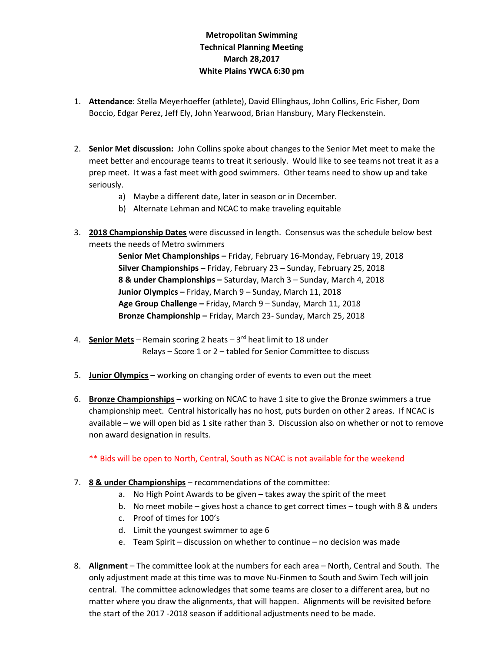## Metropolitan Swimming Technical Planning Meeting March 28,2017 White Plains YWCA 6:30 pm

- 1. Attendance: Stella Meyerhoeffer (athlete), David Ellinghaus, John Collins, Eric Fisher, Dom Boccio, Edgar Perez, Jeff Ely, John Yearwood, Brian Hansbury, Mary Fleckenstein.
- 2. Senior Met discussion: John Collins spoke about changes to the Senior Met meet to make the meet better and encourage teams to treat it seriously. Would like to see teams not treat it as a prep meet. It was a fast meet with good swimmers. Other teams need to show up and take seriously.
	- a) Maybe a different date, later in season or in December.
	- b) Alternate Lehman and NCAC to make traveling equitable
- 3. 2018 Championship Dates were discussed in length. Consensus was the schedule below best meets the needs of Metro swimmers

Senior Met Championships – Friday, February 16-Monday, February 19, 2018 Silver Championships – Friday, February 23 – Sunday, February 25, 2018 8 & under Championships – Saturday, March 3 – Sunday, March 4, 2018 Junior Olympics – Friday, March 9 – Sunday, March 11, 2018 Age Group Challenge – Friday, March 9 – Sunday, March 11, 2018 Bronze Championship – Friday, March 23- Sunday, March 25, 2018

- 4. Senior Mets Remain scoring 2 heats  $3<sup>rd</sup>$  heat limit to 18 under Relays – Score 1 or 2 – tabled for Senior Committee to discuss
- 5. Junior Olympics working on changing order of events to even out the meet
- 6. Bronze Championships working on NCAC to have 1 site to give the Bronze swimmers a true championship meet. Central historically has no host, puts burden on other 2 areas. If NCAC is available – we will open bid as 1 site rather than 3. Discussion also on whether or not to remove non award designation in results.

## \*\* Bids will be open to North, Central, South as NCAC is not available for the weekend

- 7. 8 & under Championships recommendations of the committee:
	- a. No High Point Awards to be given takes away the spirit of the meet
	- b. No meet mobile gives host a chance to get correct times tough with 8 & unders
	- c. Proof of times for 100's
	- d. Limit the youngest swimmer to age 6
	- e. Team Spirit discussion on whether to continue no decision was made
- 8. Alignment The committee look at the numbers for each area North, Central and South. The only adjustment made at this time was to move Nu-Finmen to South and Swim Tech will join central. The committee acknowledges that some teams are closer to a different area, but no matter where you draw the alignments, that will happen. Alignments will be revisited before the start of the 2017 -2018 season if additional adjustments need to be made.